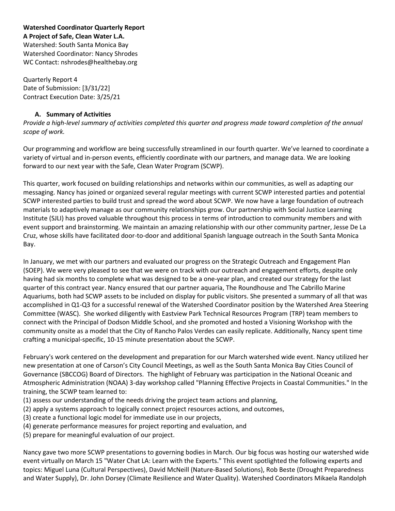**Watershed Coordinator Quarterly Report A Project of Safe, Clean Water L.A.** Watershed: South Santa Monica Bay Watershed Coordinator: Nancy Shrodes WC Contact: nshrodes@healthebay.org

Quarterly Report 4 Date of Submission: [3/31/22] Contract Execution Date: 3/25/21

#### **A. Summary of Activities**

*Provide a high-level summary of activities completed this quarter and progress made toward completion of the annual scope of work.*

Our programming and workflow are being successfully streamlined in our fourth quarter. We've learned to coordinate a variety of virtual and in-person events, efficiently coordinate with our partners, and manage data. We are looking forward to our next year with the Safe, Clean Water Program (SCWP).

This quarter, work focused on building relationships and networks within our communities, as well as adapting our messaging. Nancy has joined or organized several regular meetings with current SCWP interested parties and potential SCWP interested parties to build trust and spread the word about SCWP. We now have a large foundation of outreach materials to adaptively manage as our community relationships grow. Our partnership with Social Justice Learning Institute (SJLI) has proved valuable throughout this process in terms of introduction to community members and with event support and brainstorming. We maintain an amazing relationship with our other community partner, Jesse De La Cruz, whose skills have facilitated door-to-door and additional Spanish language outreach in the South Santa Monica Bay.

In January, we met with our partners and evaluated our progress on the Strategic Outreach and Engagement Plan (SOEP). We were very pleased to see that we were on track with our outreach and engagement efforts, despite only having had six months to complete what was designed to be a one-year plan, and created our strategy for the last quarter of this contract year. Nancy ensured that our partner aquaria, The Roundhouse and The Cabrillo Marine Aquariums, both had SCWP assets to be included on display for public visitors. She presented a summary of all that was accomplished in Q1-Q3 for a successful renewal of the Watershed Coordinator position by the Watershed Area Steering Committee (WASC). She worked diligently with Eastview Park Technical Resources Program (TRP) team members to connect with the Principal of Dodson Middle School, and she promoted and hosted a Visioning Workshop with the community onsite as a model that the City of Rancho Palos Verdes can easily replicate. Additionally, Nancy spent time crafting a municipal-specific, 10-15 minute presentation about the SCWP.

February's work centered on the development and preparation for our March watershed wide event. Nancy utilized her new presentation at one of Carson's City Council Meetings, as well as the South Santa Monica Bay Cities Council of Governance (SBCCOG) Board of Directors. The highlight of February was participation in the National Oceanic and Atmospheric Administration (NOAA) 3-day workshop called "Planning Effective Projects in Coastal Communities." In the training, the SCWP team learned to:

- (1) assess our understanding of the needs driving the project team actions and planning,
- (2) apply a systems approach to logically connect project resources actions, and outcomes,
- (3) create a functional logic model for immediate use in our projects,
- (4) generate performance measures for project reporting and evaluation, and
- (5) prepare for meaningful evaluation of our project.

Nancy gave two more SCWP presentations to governing bodies in March. Our big focus was hosting our watershed wide event virtually on March 15 "Water Chat LA: Learn with the Experts." This event spotlighted the following experts and topics: Miguel Luna (Cultural Perspectives), David McNeill (Nature-Based Solutions), Rob Beste (Drought Preparedness and Water Supply), Dr. John Dorsey (Climate Resilience and Water Quality). Watershed Coordinators Mikaela Randolph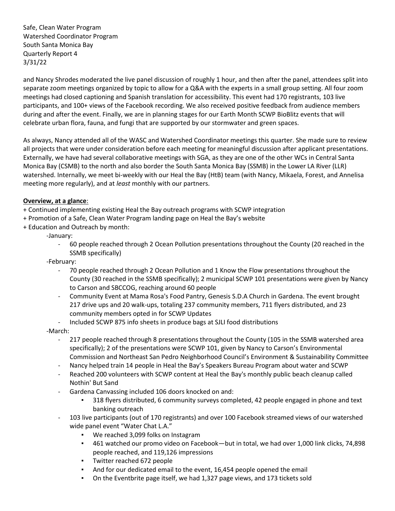and Nancy Shrodes moderated the live panel discussion of roughly 1 hour, and then after the panel, attendees split into separate zoom meetings organized by topic to allow for a Q&A with the experts in a small group setting. All four zoom meetings had closed captioning and Spanish translation for accessibility. This event had 170 registrants, 103 live participants, and 100+ views of the Facebook recording. We also received positive feedback from audience members during and after the event. Finally, we are in planning stages for our Earth Month SCWP BioBlitz events that will celebrate urban flora, fauna, and fungi that are supported by our stormwater and green spaces.

As always, Nancy attended all of the WASC and Watershed Coordinator meetings this quarter. She made sure to review all projects that were under consideration before each meeting for meaningful discussion after applicant presentations. Externally, we have had several collaborative meetings with SGA, as they are one of the other WCs in Central Santa Monica Bay (CSMB) to the north and also border the South Santa Monica Bay (SSMB) in the Lower LA River (LLR) watershed. Internally, we meet bi-weekly with our Heal the Bay (HtB) team (with Nancy, Mikaela, Forest, and Annelisa meeting more regularly), and at *least* monthly with our partners.

### **Overview, at a glance**:

- + Continued implementing existing Heal the Bay outreach programs with SCWP integration
- + Promotion of a Safe, Clean Water Program landing page on Heal the Bay's website
- + Education and Outreach by month:

-January:

- 60 people reached through 2 Ocean Pollution presentations throughout the County (20 reached in the SSMB specifically)

-February:

- 70 people reached through 2 Ocean Pollution and 1 Know the Flow presentations throughout the County (30 reached in the SSMB specifically); 2 municipal SCWP 101 presentations were given by Nancy to Carson and SBCCOG, reaching around 60 people
- Community Event at Mama Rosa's Food Pantry, Genesis S.D.A Church in Gardena. The event brought 217 drive ups and 20 walk-ups, totaling 237 community members, 711 flyers distributed, and 23 community members opted in for SCWP Updates
- Included SCWP 875 info sheets in produce bags at SJLI food distributions

-March:

- 217 people reached through 8 presentations throughout the County (105 in the SSMB watershed area specifically); 2 of the presentations were SCWP 101, given by Nancy to Carson's Environmental Commission and Northeast San Pedro Neighborhood Council's Environment & Sustainability Committee
- Nancy helped train 14 people in Heal the Bay's Speakers Bureau Program about water and SCWP
- Reached 200 volunteers with SCWP content at Heal the Bay's monthly public beach cleanup called Nothin' But Sand
- Gardena Canvassing included 106 doors knocked on and:
	- 318 flyers distributed, 6 community surveys completed, 42 people engaged in phone and text banking outreach
- 103 live participants (out of 170 registrants) and over 100 Facebook streamed views of our watershed wide panel event "Water Chat L.A."
	- We reached 3,099 folks on Instagram
	- 461 watched our promo video on Facebook—but in total, we had over 1,000 link clicks, 74,898 people reached, and 119,126 impressions
	- Twitter reached 672 people
	- And for our dedicated email to the event, 16,454 people opened the email
	- On the Eventbrite page itself, we had 1,327 page views, and 173 tickets sold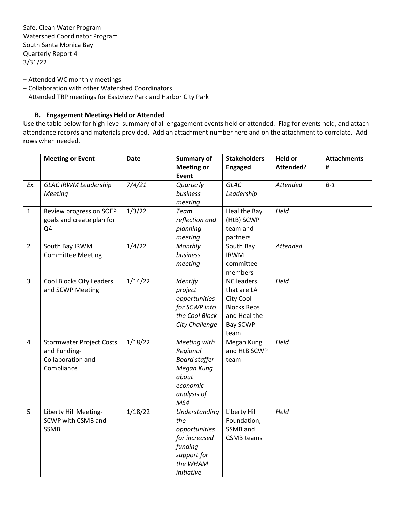- + Attended WC monthly meetings
- + Collaboration with other Watershed Coordinators
- + Attended TRP meetings for Eastview Park and Harbor City Park

#### **B. Engagement Meetings Held or Attended**

Use the table below for high-level summary of all engagement events held or attended. Flag for events held, and attach attendance records and materials provided. Add an attachment number here and on the attachment to correlate. Add rows when needed.

|                | <b>Meeting or Event</b>                      | <b>Date</b> | <b>Summary of</b>        | <b>Stakeholders</b>  | <b>Held or</b>   | <b>Attachments</b> |
|----------------|----------------------------------------------|-------------|--------------------------|----------------------|------------------|--------------------|
|                |                                              |             | <b>Meeting or</b>        | <b>Engaged</b>       | <b>Attended?</b> | #                  |
|                |                                              |             | <b>Event</b>             |                      |                  |                    |
| Ex.            | <b>GLAC IRWM Leadership</b>                  | 7/4/21      | Quarterly                | <b>GLAC</b>          | Attended         | $B-1$              |
|                | Meeting                                      |             | business                 | Leadership           |                  |                    |
|                |                                              |             | meeting                  |                      |                  |                    |
| $\mathbf{1}$   | Review progress on SOEP                      | 1/3/22      | <b>Team</b>              | Heal the Bay         | Held             |                    |
|                | goals and create plan for                    |             | reflection and           | (HtB) SCWP           |                  |                    |
|                | Q4                                           |             | planning                 | team and             |                  |                    |
|                |                                              |             | meeting                  | partners             |                  |                    |
| $\overline{2}$ | South Bay IRWM                               | 1/4/22      | Monthly                  | South Bay            | Attended         |                    |
|                | <b>Committee Meeting</b>                     |             | business                 | <b>IRWM</b>          |                  |                    |
|                |                                              |             | meeting                  | committee<br>members |                  |                    |
| $\overline{3}$ |                                              | 1/14/22     |                          | <b>NC</b> leaders    | Held             |                    |
|                | Cool Blocks City Leaders<br>and SCWP Meeting |             | Identify                 | that are LA          |                  |                    |
|                |                                              |             | project<br>opportunities | City Cool            |                  |                    |
|                |                                              |             | for SCWP into            | <b>Blocks Reps</b>   |                  |                    |
|                |                                              |             | the Cool Block           | and Heal the         |                  |                    |
|                |                                              |             | City Challenge           | <b>Bay SCWP</b>      |                  |                    |
|                |                                              |             |                          | team                 |                  |                    |
| 4              | <b>Stormwater Project Costs</b>              | 1/18/22     | Meeting with             | Megan Kung           | Held             |                    |
|                | and Funding-                                 |             | Regional                 | and HtB SCWP         |                  |                    |
|                | Collaboration and                            |             | <b>Board staffer</b>     | team                 |                  |                    |
|                | Compliance                                   |             | Megan Kung               |                      |                  |                    |
|                |                                              |             | about                    |                      |                  |                    |
|                |                                              |             | economic                 |                      |                  |                    |
|                |                                              |             | analysis of              |                      |                  |                    |
|                |                                              |             | MS4                      |                      |                  |                    |
| 5              | Liberty Hill Meeting-                        | 1/18/22     | Understanding            | Liberty Hill         | Held             |                    |
|                | SCWP with CSMB and                           |             | the                      | Foundation,          |                  |                    |
|                | <b>SSMB</b>                                  |             | opportunities            | SSMB and             |                  |                    |
|                |                                              |             | for increased            | <b>CSMB</b> teams    |                  |                    |
|                |                                              |             | funding                  |                      |                  |                    |
|                |                                              |             | support for              |                      |                  |                    |
|                |                                              |             | the WHAM                 |                      |                  |                    |
|                |                                              |             | initiative               |                      |                  |                    |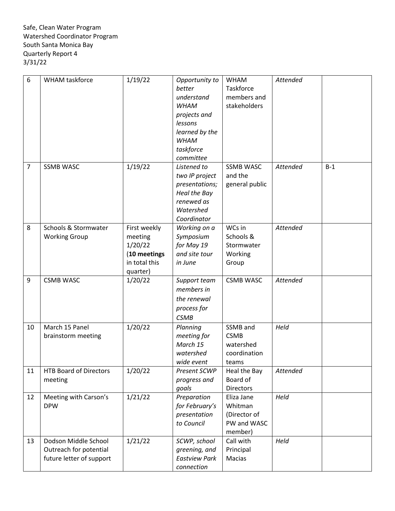| 6              | WHAM taskforce                                                             | 1/19/22                                                                         | Opportunity to<br>better<br>understand<br><b>WHAM</b><br>projects and<br>lessons<br>learned by the<br><b>WHAM</b><br>taskforce<br>committee | <b>WHAM</b><br>Taskforce<br>members and<br>stakeholders         | Attended |       |
|----------------|----------------------------------------------------------------------------|---------------------------------------------------------------------------------|---------------------------------------------------------------------------------------------------------------------------------------------|-----------------------------------------------------------------|----------|-------|
| $\overline{7}$ | <b>SSMB WASC</b>                                                           | 1/19/22                                                                         | Listened to<br>two IP project<br>presentations;<br>Heal the Bay<br>renewed as<br>Watershed<br>Coordinator                                   | <b>SSMB WASC</b><br>and the<br>general public                   | Attended | $B-1$ |
| 8              | Schools & Stormwater<br><b>Working Group</b>                               | First weekly<br>meeting<br>1/20/22<br>(10 meetings<br>in total this<br>quarter) | Working on a<br>Symposium<br>for May 19<br>and site tour<br>in June                                                                         | WCs in<br>Schools &<br>Stormwater<br>Working<br>Group           | Attended |       |
| 9              | <b>CSMB WASC</b>                                                           | 1/20/22                                                                         | Support team<br>members in<br>the renewal<br>process for<br><b>CSMB</b>                                                                     | <b>CSMB WASC</b>                                                | Attended |       |
| 10             | March 15 Panel<br>brainstorm meeting                                       | 1/20/22                                                                         | Planning<br>meeting for<br>March 15<br>watershed<br>wide event                                                                              | SSMB and<br><b>CSMB</b><br>watershed<br>coordination<br>teams   | Held     |       |
| 11             | <b>HTB Board of Directors</b><br>meeting                                   | 1/20/22                                                                         | Present SCWP<br>progress and<br>goals                                                                                                       | Heal the Bay<br>Board of<br>Directors                           | Attended |       |
| 12             | Meeting with Carson's<br><b>DPW</b>                                        | 1/21/22                                                                         | Preparation<br>for February's<br>presentation<br>to Council                                                                                 | Eliza Jane<br>Whitman<br>(Director of<br>PW and WASC<br>member) | Held     |       |
| 13             | Dodson Middle School<br>Outreach for potential<br>future letter of support | 1/21/22                                                                         | SCWP, school<br>greening, and<br><b>Eastview Park</b><br>connection                                                                         | Call with<br>Principal<br>Macias                                | Held     |       |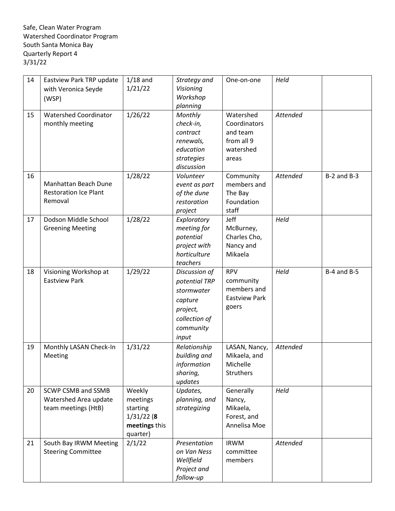| 14 | Eastview Park TRP update     | $1/18$ and    | Strategy and  | One-on-one    | Held     |                 |
|----|------------------------------|---------------|---------------|---------------|----------|-----------------|
|    | with Veronica Seyde          | 1/21/22       | Visioning     |               |          |                 |
|    | (WSP)                        |               | Workshop      |               |          |                 |
|    |                              |               | planning      |               |          |                 |
| 15 | <b>Watershed Coordinator</b> | 1/26/22       | Monthly       | Watershed     | Attended |                 |
|    | monthly meeting              |               | check-in,     | Coordinators  |          |                 |
|    |                              |               | contract      | and team      |          |                 |
|    |                              |               | renewals,     | from all 9    |          |                 |
|    |                              |               | education     | watershed     |          |                 |
|    |                              |               | strategies    | areas         |          |                 |
|    |                              |               | discussion    |               |          |                 |
| 16 |                              | 1/28/22       | Volunteer     | Community     | Attended | $B-2$ and $B-3$ |
|    | Manhattan Beach Dune         |               | event as part | members and   |          |                 |
|    | <b>Restoration Ice Plant</b> |               | of the dune   | The Bay       |          |                 |
|    | Removal                      |               | restoration   | Foundation    |          |                 |
|    |                              |               | project       | staff         |          |                 |
| 17 | Dodson Middle School         | 1/28/22       | Exploratory   | Jeff          | Held     |                 |
|    | <b>Greening Meeting</b>      |               | meeting for   | McBurney,     |          |                 |
|    |                              |               | potential     | Charles Cho,  |          |                 |
|    |                              |               | project with  | Nancy and     |          |                 |
|    |                              |               | horticulture  | Mikaela       |          |                 |
|    |                              |               | teachers      |               |          |                 |
| 18 | Visioning Workshop at        | 1/29/22       | Discussion of | <b>RPV</b>    | Held     | $B-4$ and $B-5$ |
|    | <b>Eastview Park</b>         |               | potential TRP | community     |          |                 |
|    |                              |               | stormwater    | members and   |          |                 |
|    |                              |               | capture       | Eastview Park |          |                 |
|    |                              |               | project,      | goers         |          |                 |
|    |                              |               |               |               |          |                 |
|    |                              |               | collection of |               |          |                 |
|    |                              |               | community     |               |          |                 |
|    |                              |               | input         |               |          |                 |
| 19 | Monthly LASAN Check-In       | 1/31/22       | Relationship  | LASAN, Nancy, | Attended |                 |
|    | Meeting                      |               | building and  | Mikaela, and  |          |                 |
|    |                              |               | information   | Michelle      |          |                 |
|    |                              |               | sharing,      | Struthers     |          |                 |
|    |                              |               | updates       |               |          |                 |
| 20 | SCWP CSMB and SSMB           | Weekly        | Updates,      | Generally     | Held     |                 |
|    | Watershed Area update        | meetings      | planning, and | Nancy,        |          |                 |
|    | team meetings (HtB)          | starting      | strategizing  | Mikaela,      |          |                 |
|    |                              | 1/31/22(8     |               | Forest, and   |          |                 |
|    |                              | meetings this |               | Annelisa Moe  |          |                 |
|    |                              | quarter)      |               |               |          |                 |
| 21 | South Bay IRWM Meeting       | 2/1/22        | Presentation  | <b>IRWM</b>   | Attended |                 |
|    | <b>Steering Committee</b>    |               | on Van Ness   | committee     |          |                 |
|    |                              |               | Wellfield     | members       |          |                 |
|    |                              |               | Project and   |               |          |                 |
|    |                              |               | follow-up     |               |          |                 |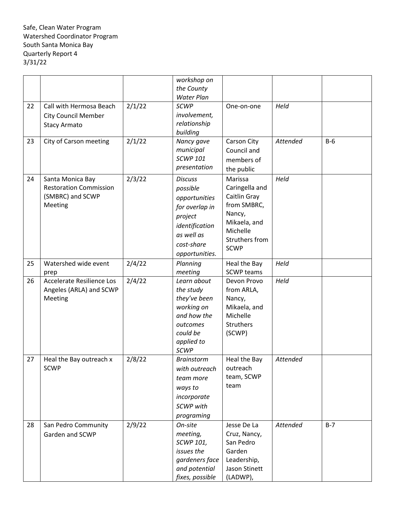|    |                               |        | workshop on       |                            |          |       |
|----|-------------------------------|--------|-------------------|----------------------------|----------|-------|
|    |                               |        | the County        |                            |          |       |
|    |                               |        | <b>Water Plan</b> |                            |          |       |
| 22 | Call with Hermosa Beach       | 2/1/22 | <b>SCWP</b>       | One-on-one                 | Held     |       |
|    | <b>City Council Member</b>    |        | involvement,      |                            |          |       |
|    | <b>Stacy Armato</b>           |        | relationship      |                            |          |       |
|    |                               |        | building          |                            |          |       |
| 23 | City of Carson meeting        | 2/1/22 | Nancy gave        | Carson City                | Attended | $B-6$ |
|    |                               |        | municipal         | Council and                |          |       |
|    |                               |        | <b>SCWP 101</b>   | members of                 |          |       |
|    |                               |        | presentation      | the public                 |          |       |
|    |                               | 2/3/22 |                   | Marissa                    | Held     |       |
| 24 | Santa Monica Bay              |        | <b>Discuss</b>    |                            |          |       |
|    | <b>Restoration Commission</b> |        | possible          | Caringella and             |          |       |
|    | (SMBRC) and SCWP              |        | opportunities     | Caitlin Gray               |          |       |
|    | Meeting                       |        | for overlap in    | from SMBRC,                |          |       |
|    |                               |        | project           | Nancy,                     |          |       |
|    |                               |        | identification    | Mikaela, and               |          |       |
|    |                               |        | as well as        | Michelle<br>Struthers from |          |       |
|    |                               |        | cost-share        |                            |          |       |
|    |                               |        | opportunities.    | <b>SCWP</b>                |          |       |
| 25 | Watershed wide event          | 2/4/22 | Planning          | Heal the Bay               | Held     |       |
|    | prep                          |        | meeting           | <b>SCWP</b> teams          |          |       |
| 26 | Accelerate Resilience Los     | 2/4/22 | Learn about       | Devon Provo                | Held     |       |
|    | Angeles (ARLA) and SCWP       |        | the study         | from ARLA,                 |          |       |
|    | Meeting                       |        | they've been      | Nancy,                     |          |       |
|    |                               |        | working on        | Mikaela, and               |          |       |
|    |                               |        | and how the       | Michelle                   |          |       |
|    |                               |        | outcomes          | <b>Struthers</b>           |          |       |
|    |                               |        | could be          | (SCWP)                     |          |       |
|    |                               |        | applied to        |                            |          |       |
|    |                               |        | <b>SCWP</b>       |                            |          |       |
| 27 | Heal the Bay outreach x       | 2/8/22 | <b>Brainstorm</b> | Heal the Bay               | Attended |       |
|    | <b>SCWP</b>                   |        | with outreach     | outreach                   |          |       |
|    |                               |        | team more         | team, SCWP                 |          |       |
|    |                               |        | ways to           | team                       |          |       |
|    |                               |        | incorporate       |                            |          |       |
|    |                               |        | SCWP with         |                            |          |       |
|    |                               |        |                   |                            |          |       |
|    |                               |        | programing        |                            |          |       |
| 28 | San Pedro Community           | 2/9/22 | On-site           | Jesse De La                | Attended | $B-7$ |
|    | Garden and SCWP               |        | meeting,          | Cruz, Nancy,               |          |       |
|    |                               |        | SCWP 101,         | San Pedro                  |          |       |
|    |                               |        | issues the        | Garden                     |          |       |
|    |                               |        | gardeners face    | Leadership,                |          |       |
|    |                               |        | and potential     | Jason Stinett              |          |       |
|    |                               |        | fixes, possible   | (LADWP),                   |          |       |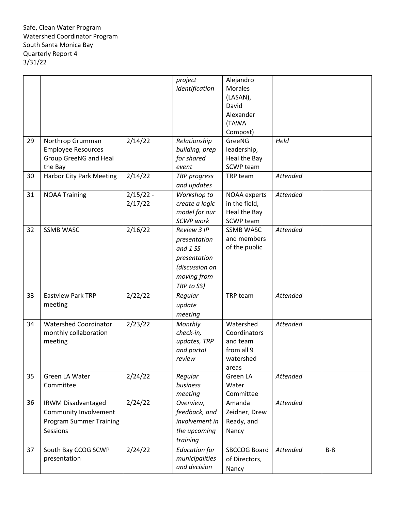|    |                                 |             | project              | Alejandro           |                 |       |
|----|---------------------------------|-------------|----------------------|---------------------|-----------------|-------|
|    |                                 |             | identification       | <b>Morales</b>      |                 |       |
|    |                                 |             |                      | (LASAN),            |                 |       |
|    |                                 |             |                      | David               |                 |       |
|    |                                 |             |                      | Alexander           |                 |       |
|    |                                 |             |                      | (TAWA               |                 |       |
|    |                                 |             |                      | Compost)            |                 |       |
| 29 | Northrop Grumman                | 2/14/22     | Relationship         | GreeNG              | Held            |       |
|    | <b>Employee Resources</b>       |             | building, prep       | leadership,         |                 |       |
|    | Group GreeNG and Heal           |             | for shared           | Heal the Bay        |                 |       |
|    | the Bay                         |             | event                | SCWP team           |                 |       |
| 30 | <b>Harbor City Park Meeting</b> | 2/14/22     | TRP progress         | TRP team            | Attended        |       |
|    |                                 |             | and updates          |                     |                 |       |
| 31 | <b>NOAA Training</b>            | $2/15/22 -$ | Workshop to          | NOAA experts        | Attended        |       |
|    |                                 | 2/17/22     | create a logic       | in the field,       |                 |       |
|    |                                 |             | model for our        | Heal the Bay        |                 |       |
|    |                                 |             | SCWP work            | SCWP team           |                 |       |
| 32 | <b>SSMB WASC</b>                | 2/16/22     | Review 3 IP          | <b>SSMB WASC</b>    | <b>Attended</b> |       |
|    |                                 |             | presentation         | and members         |                 |       |
|    |                                 |             | and 1 SS             | of the public       |                 |       |
|    |                                 |             | presentation         |                     |                 |       |
|    |                                 |             | (discussion on       |                     |                 |       |
|    |                                 |             | moving from          |                     |                 |       |
|    |                                 |             | TRP to SS)           |                     |                 |       |
| 33 | <b>Eastview Park TRP</b>        | 2/22/22     | Regular              | TRP team            | Attended        |       |
|    | meeting                         |             | update               |                     |                 |       |
|    |                                 |             | meeting              |                     |                 |       |
| 34 | <b>Watershed Coordinator</b>    | 2/23/22     | Monthly              | Watershed           | Attended        |       |
|    | monthly collaboration           |             | check-in,            | Coordinators        |                 |       |
|    | meeting                         |             | updates, TRP         | and team            |                 |       |
|    |                                 |             | and portal           | from all 9          |                 |       |
|    |                                 |             | review               | watershed           |                 |       |
|    |                                 |             |                      | areas               |                 |       |
| 35 | Green LA Water                  | 2/24/22     | Regular              | Green LA            | Attended        |       |
|    | Committee                       |             | business             | Water               |                 |       |
|    |                                 |             | meeting              | Committee           |                 |       |
| 36 | <b>IRWM Disadvantaged</b>       | 2/24/22     | Overview,            | Amanda              | Attended        |       |
|    | Community Involvement           |             | feedback, and        | Zeidner, Drew       |                 |       |
|    | <b>Program Summer Training</b>  |             | involvement in       | Ready, and          |                 |       |
|    | Sessions                        |             | the upcoming         | Nancy               |                 |       |
|    |                                 |             | training             |                     |                 |       |
| 37 | South Bay CCOG SCWP             | 2/24/22     | <b>Education for</b> | <b>SBCCOG Board</b> | Attended        | $B-8$ |
|    | presentation                    |             | municipalities       | of Directors,       |                 |       |
|    |                                 |             | and decision         |                     |                 |       |
|    |                                 |             |                      | Nancy               |                 |       |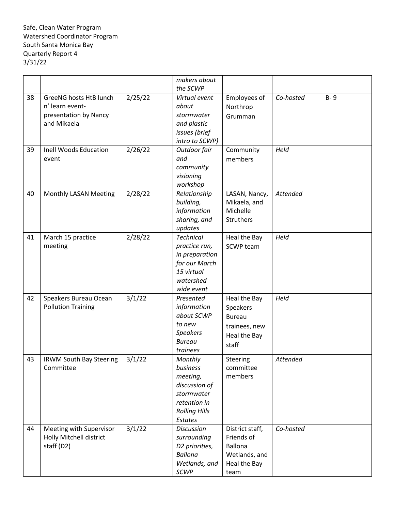|    |                                |         | makers about         |                 |           |         |
|----|--------------------------------|---------|----------------------|-----------------|-----------|---------|
|    |                                |         | the SCWP             |                 |           |         |
| 38 | GreeNG hosts HtB lunch         | 2/25/22 | Virtual event        | Employees of    | Co-hosted | $B - 9$ |
|    | n' learn event-                |         | about                | Northrop        |           |         |
|    | presentation by Nancy          |         | stormwater           | Grumman         |           |         |
|    | and Mikaela                    |         | and plastic          |                 |           |         |
|    |                                |         | issues (brief        |                 |           |         |
|    |                                |         | intro to SCWP)       |                 |           |         |
| 39 | <b>Inell Woods Education</b>   | 2/26/22 | Outdoor fair         | Community       | Held      |         |
|    | event                          |         | and                  | members         |           |         |
|    |                                |         | community            |                 |           |         |
|    |                                |         | visioning            |                 |           |         |
|    |                                |         | workshop             |                 |           |         |
| 40 | Monthly LASAN Meeting          | 2/28/22 | Relationship         | LASAN, Nancy,   | Attended  |         |
|    |                                |         | building,            | Mikaela, and    |           |         |
|    |                                |         | information          | Michelle        |           |         |
|    |                                |         | sharing, and         | Struthers       |           |         |
|    |                                |         | updates              |                 |           |         |
| 41 | March 15 practice              | 2/28/22 | <b>Technical</b>     | Heal the Bay    | Held      |         |
|    | meeting                        |         | practice run,        | SCWP team       |           |         |
|    |                                |         | in preparation       |                 |           |         |
|    |                                |         | for our March        |                 |           |         |
|    |                                |         | 15 virtual           |                 |           |         |
|    |                                |         | watershed            |                 |           |         |
|    |                                |         | wide event           |                 |           |         |
| 42 | Speakers Bureau Ocean          | 3/1/22  | Presented            | Heal the Bay    | Held      |         |
|    | <b>Pollution Training</b>      |         | information          | Speakers        |           |         |
|    |                                |         | about SCWP           | <b>Bureau</b>   |           |         |
|    |                                |         | to new               | trainees, new   |           |         |
|    |                                |         | <b>Speakers</b>      | Heal the Bay    |           |         |
|    |                                |         | <b>Bureau</b>        | staff           |           |         |
|    |                                |         | trainees             |                 |           |         |
| 43 | <b>IRWM South Bay Steering</b> | 3/1/22  | Monthly              | Steering        | Attended  |         |
|    | Committee                      |         | business             | committee       |           |         |
|    |                                |         | meeting,             | members         |           |         |
|    |                                |         | discussion of        |                 |           |         |
|    |                                |         | stormwater           |                 |           |         |
|    |                                |         | retention in         |                 |           |         |
|    |                                |         | <b>Rolling Hills</b> |                 |           |         |
|    |                                |         | Estates              |                 |           |         |
| 44 | Meeting with Supervisor        | 3/1/22  | <b>Discussion</b>    | District staff, | Co-hosted |         |
|    | Holly Mitchell district        |         | surrounding          | Friends of      |           |         |
|    | staff (D2)                     |         | D2 priorities,       | <b>Ballona</b>  |           |         |
|    |                                |         | <b>Ballona</b>       | Wetlands, and   |           |         |
|    |                                |         | Wetlands, and        | Heal the Bay    |           |         |
|    |                                |         | SCWP                 | team            |           |         |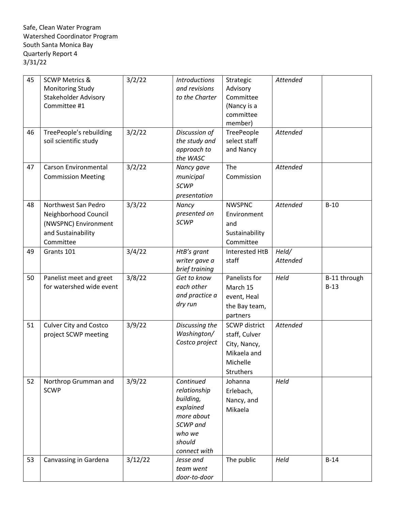| 45<br>46<br>47 | <b>SCWP Metrics &amp;</b><br><b>Monitoring Study</b><br><b>Stakeholder Advisory</b><br>Committee #1<br>TreePeople's rebuilding<br>soil scientific study<br><b>Carson Environmental</b><br><b>Commission Meeting</b> | 3/2/22<br>3/2/22<br>3/2/22 | <b>Introductions</b><br>and revisions<br>to the Charter<br>Discussion of<br>the study and<br>approach to<br>the WASC<br>Nancy gave<br>municipal<br><b>SCWP</b> | Strategic<br>Advisory<br>Committee<br>(Nancy is a<br>committee<br>member)<br>TreePeople<br>select staff<br>and Nancy<br>The<br>Commission | Attended<br>Attended<br>Attended |                        |
|----------------|---------------------------------------------------------------------------------------------------------------------------------------------------------------------------------------------------------------------|----------------------------|----------------------------------------------------------------------------------------------------------------------------------------------------------------|-------------------------------------------------------------------------------------------------------------------------------------------|----------------------------------|------------------------|
| 48             | Northwest San Pedro<br>Neighborhood Council<br>(NWSPNC) Environment<br>and Sustainability<br>Committee                                                                                                              | 3/3/22                     | presentation<br>Nancy<br>presented on<br><b>SCWP</b>                                                                                                           | <b>NWSPNC</b><br>Environment<br>and<br>Sustainability<br>Committee                                                                        | <b>Attended</b>                  | $B-10$                 |
| 49             | Grants 101                                                                                                                                                                                                          | 3/4/22                     | HtB's grant<br>writer gave a<br>brief training                                                                                                                 | Interested HtB<br>staff                                                                                                                   | Held/<br>Attended                |                        |
| 50             | Panelist meet and greet<br>for watershed wide event                                                                                                                                                                 | 3/8/22                     | Get to know<br>each other<br>and practice a<br>dry run                                                                                                         | Panelists for<br>March 15<br>event, Heal<br>the Bay team,<br>partners                                                                     | Held                             | B-11 through<br>$B-13$ |
| 51             | <b>Culver City and Costco</b><br>project SCWP meeting                                                                                                                                                               | 3/9/22                     | Discussing the<br>Washington/<br>Costco project                                                                                                                | <b>SCWP</b> district<br>staff, Culver<br>City, Nancy,<br>Mikaela and<br>Michelle<br>Struthers                                             | Attended                         |                        |
| 52             | Northrop Grumman and<br><b>SCWP</b>                                                                                                                                                                                 | 3/9/22                     | Continued<br>relationship<br>building,<br>explained<br>more about<br>SCWP and<br>who we<br>should<br>connect with                                              | Johanna<br>Erlebach,<br>Nancy, and<br>Mikaela                                                                                             | Held                             |                        |
| 53             | Canvassing in Gardena                                                                                                                                                                                               | 3/12/22                    | Jesse and<br>team went<br>door-to-door                                                                                                                         | The public                                                                                                                                | Held                             | $B-14$                 |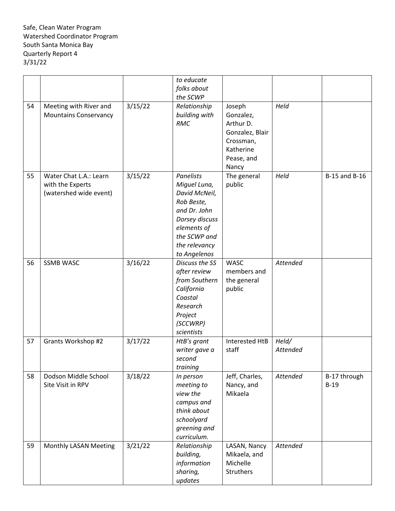|    |                              |         | to educate       |                 |          |               |
|----|------------------------------|---------|------------------|-----------------|----------|---------------|
|    |                              |         | folks about      |                 |          |               |
|    |                              |         | the SCWP         |                 |          |               |
| 54 | Meeting with River and       | 3/15/22 | Relationship     | Joseph          | Held     |               |
|    | <b>Mountains Conservancy</b> |         | building with    | Gonzalez,       |          |               |
|    |                              |         | <b>RMC</b>       | Arthur D.       |          |               |
|    |                              |         |                  | Gonzalez, Blair |          |               |
|    |                              |         |                  | Crossman,       |          |               |
|    |                              |         |                  | Katherine       |          |               |
|    |                              |         |                  | Pease, and      |          |               |
|    |                              |         |                  | Nancy           |          |               |
| 55 | Water Chat L.A.: Learn       | 3/15/22 | <b>Panelists</b> | The general     | Held     | B-15 and B-16 |
|    | with the Experts             |         | Miguel Luna,     | public          |          |               |
|    | (watershed wide event)       |         | David McNeil,    |                 |          |               |
|    |                              |         | Rob Beste,       |                 |          |               |
|    |                              |         | and Dr. John     |                 |          |               |
|    |                              |         | Dorsey discuss   |                 |          |               |
|    |                              |         | elements of      |                 |          |               |
|    |                              |         | the SCWP and     |                 |          |               |
|    |                              |         | the relevancy    |                 |          |               |
|    |                              |         | to Angelenos     |                 |          |               |
| 56 | <b>SSMB WASC</b>             | 3/16/22 | Discuss the SS   | <b>WASC</b>     | Attended |               |
|    |                              |         | after review     | members and     |          |               |
|    |                              |         | from Southern    | the general     |          |               |
|    |                              |         | California       | public          |          |               |
|    |                              |         | Coastal          |                 |          |               |
|    |                              |         | Research         |                 |          |               |
|    |                              |         | Project          |                 |          |               |
|    |                              |         | (SCCWRP)         |                 |          |               |
|    |                              |         | scientists       |                 |          |               |
| 57 | Grants Workshop #2           | 3/17/22 | HtB's grant      | Interested HtB  | Held/    |               |
|    |                              |         | writer gave a    | staff           | Attended |               |
|    |                              |         | second           |                 |          |               |
|    |                              |         | training         |                 |          |               |
| 58 | Dodson Middle School         | 3/18/22 | In person        | Jeff, Charles,  | Attended | B-17 through  |
|    | Site Visit in RPV            |         | meeting to       | Nancy, and      |          | $B-19$        |
|    |                              |         | view the         | Mikaela         |          |               |
|    |                              |         | campus and       |                 |          |               |
|    |                              |         | think about      |                 |          |               |
|    |                              |         | schoolyard       |                 |          |               |
|    |                              |         | greening and     |                 |          |               |
|    |                              |         | curriculum.      |                 |          |               |
| 59 | Monthly LASAN Meeting        | 3/21/22 | Relationship     | LASAN, Nancy    | Attended |               |
|    |                              |         | building,        | Mikaela, and    |          |               |
|    |                              |         | information      | Michelle        |          |               |
|    |                              |         | sharing,         | Struthers       |          |               |
|    |                              |         | updates          |                 |          |               |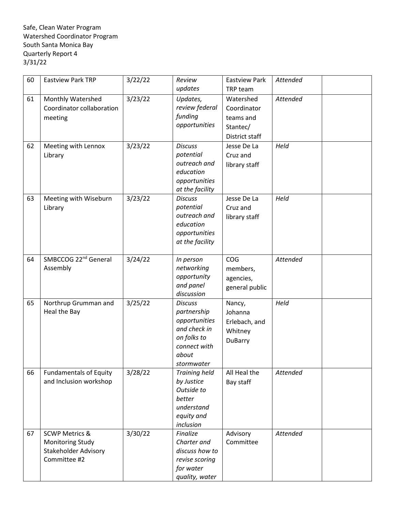| 60 | <b>Eastview Park TRP</b>                    | 3/22/22 | Review                        | <b>Eastview Park</b> | <b>Attended</b> |  |
|----|---------------------------------------------|---------|-------------------------------|----------------------|-----------------|--|
|    |                                             |         | updates                       | TRP team             |                 |  |
| 61 | Monthly Watershed                           | 3/23/22 | Updates,                      | Watershed            | Attended        |  |
|    | Coordinator collaboration                   |         | review federal                | Coordinator          |                 |  |
|    | meeting                                     |         | funding                       | teams and            |                 |  |
|    |                                             |         | opportunities                 | Stantec/             |                 |  |
|    |                                             |         |                               | District staff       |                 |  |
| 62 | Meeting with Lennox                         | 3/23/22 | <b>Discuss</b>                | Jesse De La          | Held            |  |
|    | Library                                     |         | potential                     | Cruz and             |                 |  |
|    |                                             |         | outreach and                  | library staff        |                 |  |
|    |                                             |         | education                     |                      |                 |  |
|    |                                             |         | opportunities                 |                      |                 |  |
|    |                                             |         | at the facility               |                      |                 |  |
| 63 | Meeting with Wiseburn                       | 3/23/22 | <b>Discuss</b>                | Jesse De La          | Held            |  |
|    | Library                                     |         | potential                     | Cruz and             |                 |  |
|    |                                             |         | outreach and<br>education     | library staff        |                 |  |
|    |                                             |         | opportunities                 |                      |                 |  |
|    |                                             |         | at the facility               |                      |                 |  |
|    |                                             |         |                               |                      |                 |  |
| 64 | SMBCCOG 22 <sup>nd</sup> General            | 3/24/22 | In person                     | COG                  | Attended        |  |
|    | Assembly                                    |         | networking                    | members,             |                 |  |
|    |                                             |         | opportunity                   | agencies,            |                 |  |
|    |                                             |         | and panel                     | general public       |                 |  |
|    |                                             |         | discussion                    |                      |                 |  |
| 65 | Northrup Grumman and                        | 3/25/22 | <b>Discuss</b>                | Nancy,               | Held            |  |
|    | Heal the Bay                                |         | partnership                   | Johanna              |                 |  |
|    |                                             |         | opportunities<br>and check in | Erlebach, and        |                 |  |
|    |                                             |         | on folks to                   | Whitney              |                 |  |
|    |                                             |         | connect with                  | <b>DuBarry</b>       |                 |  |
|    |                                             |         | about                         |                      |                 |  |
|    |                                             |         | stormwater                    |                      |                 |  |
| 66 | <b>Fundamentals of Equity</b>               | 3/28/22 | <b>Training held</b>          | All Heal the         | Attended        |  |
|    | and Inclusion workshop                      |         | by Justice                    | Bay staff            |                 |  |
|    |                                             |         | Outside to                    |                      |                 |  |
|    |                                             |         | better                        |                      |                 |  |
|    |                                             |         | understand                    |                      |                 |  |
|    |                                             |         | equity and                    |                      |                 |  |
|    |                                             |         | inclusion                     |                      |                 |  |
| 67 | <b>SCWP Metrics &amp;</b>                   | 3/30/22 | Finalize                      | Advisory             | Attended        |  |
|    | <b>Monitoring Study</b>                     |         | Charter and<br>discuss how to | Committee            |                 |  |
|    | <b>Stakeholder Advisory</b><br>Committee #2 |         | revise scoring                |                      |                 |  |
|    |                                             |         | for water                     |                      |                 |  |
|    |                                             |         | quality, water                |                      |                 |  |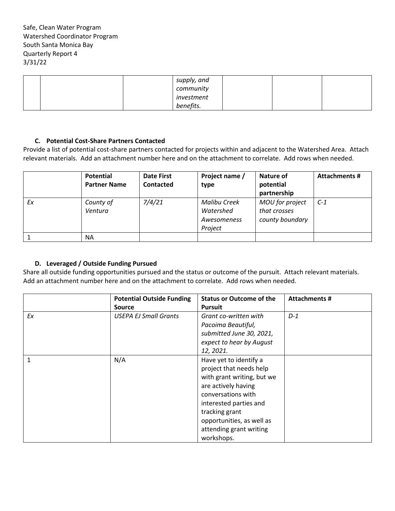|  | supply, and |  |  |
|--|-------------|--|--|
|  | community   |  |  |
|  | investment  |  |  |
|  | benefits.   |  |  |

#### **C. Potential Cost-Share Partners Contacted**

Provide a list of potential cost-share partners contacted for projects within and adjacent to the Watershed Area. Attach relevant materials. Add an attachment number here and on the attachment to correlate. Add rows when needed.

|    | Potential<br><b>Partner Name</b> | <b>Date First</b><br><b>Contacted</b> | Project name /<br>type                              | Nature of<br>potential<br>partnership              | <b>Attachments #</b> |
|----|----------------------------------|---------------------------------------|-----------------------------------------------------|----------------------------------------------------|----------------------|
| Ex | County of<br>Ventura             | 7/4/21                                | Malibu Creek<br>Watershed<br>Awesomeness<br>Project | MOU for project<br>that crosses<br>county boundary | $C-1$                |
|    | ΝA                               |                                       |                                                     |                                                    |                      |

#### **D. Leveraged / Outside Funding Pursued**

Share all outside funding opportunities pursued and the status or outcome of the pursuit. Attach relevant materials. Add an attachment number here and on the attachment to correlate. Add rows when needed.

|    | <b>Potential Outside Funding</b> | <b>Status or Outcome of the</b> | <b>Attachments #</b> |
|----|----------------------------------|---------------------------------|----------------------|
|    | <b>Source</b>                    | <b>Pursuit</b>                  |                      |
| Ex | <b>USEPA EJ Small Grants</b>     | Grant co-written with           | $D-1$                |
|    |                                  | Pacoima Beautiful,              |                      |
|    |                                  | submitted June 30, 2021,        |                      |
|    |                                  | expect to hear by August        |                      |
|    |                                  | 12, 2021.                       |                      |
| 1  | N/A                              | Have yet to identify a          |                      |
|    |                                  | project that needs help         |                      |
|    |                                  | with grant writing, but we      |                      |
|    |                                  | are actively having             |                      |
|    |                                  | conversations with              |                      |
|    |                                  | interested parties and          |                      |
|    |                                  | tracking grant                  |                      |
|    |                                  | opportunities, as well as       |                      |
|    |                                  | attending grant writing         |                      |
|    |                                  | workshops.                      |                      |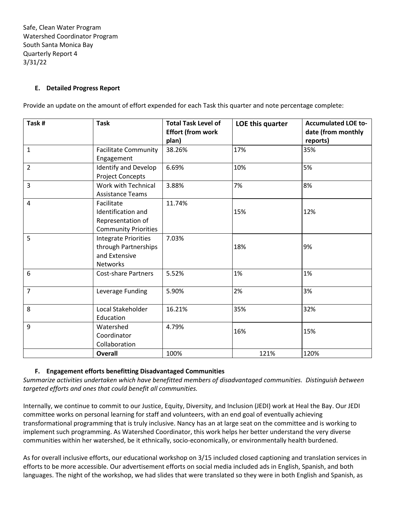### **E. Detailed Progress Report**

Provide an update on the amount of effort expended for each Task this quarter and note percentage complete:

| Task #         | <b>Task</b>                                                                             | <b>Total Task Level of</b><br><b>Effort (from work</b><br>plan) | LOE this quarter | <b>Accumulated LOE to-</b><br>date (from monthly<br>reports) |
|----------------|-----------------------------------------------------------------------------------------|-----------------------------------------------------------------|------------------|--------------------------------------------------------------|
| $\mathbf{1}$   | <b>Facilitate Community</b><br>Engagement                                               | 38.26%                                                          | 17%              | 35%                                                          |
| $\overline{2}$ | Identify and Develop<br><b>Project Concepts</b>                                         | 6.69%                                                           | 10%              | 5%                                                           |
| 3              | Work with Technical<br><b>Assistance Teams</b>                                          | 3.88%                                                           | 7%               | 8%                                                           |
| 4              | Facilitate<br>Identification and<br>Representation of<br><b>Community Priorities</b>    | 11.74%                                                          | 15%              | 12%                                                          |
| 5              | <b>Integrate Priorities</b><br>through Partnerships<br>and Extensive<br><b>Networks</b> | 7.03%                                                           | 18%              | 9%                                                           |
| 6              | <b>Cost-share Partners</b>                                                              | 5.52%                                                           | 1%               | 1%                                                           |
| $\overline{7}$ | Leverage Funding                                                                        | 5.90%                                                           | 2%               | 3%                                                           |
| 8              | Local Stakeholder<br>Education                                                          | 16.21%                                                          | 35%              | 32%                                                          |
| 9              | Watershed<br>Coordinator<br>Collaboration                                               | 4.79%                                                           | 16%              | 15%                                                          |
|                | <b>Overall</b>                                                                          | 100%                                                            | 121%             | 120%                                                         |

#### **F. Engagement efforts benefitting Disadvantaged Communities**

*Summarize activities undertaken which have benefitted members of disadvantaged communities. Distinguish between targeted efforts and ones that could benefit all communities.*

Internally, we continue to commit to our Justice, Equity, Diversity, and Inclusion (JEDI) work at Heal the Bay. Our JEDI committee works on personal learning for staff and volunteers, with an end goal of eventually achieving transformational programming that is truly inclusive. Nancy has an at large seat on the committee and is working to implement such programming. As Watershed Coordinator, this work helps her better understand the very diverse communities within her watershed, be it ethnically, socio-economically, or environmentally health burdened.

As for overall inclusive efforts, our educational workshop on 3/15 included closed captioning and translation services in efforts to be more accessible. Our advertisement efforts on social media included ads in English, Spanish, and both languages. The night of the workshop, we had slides that were translated so they were in both English and Spanish, as